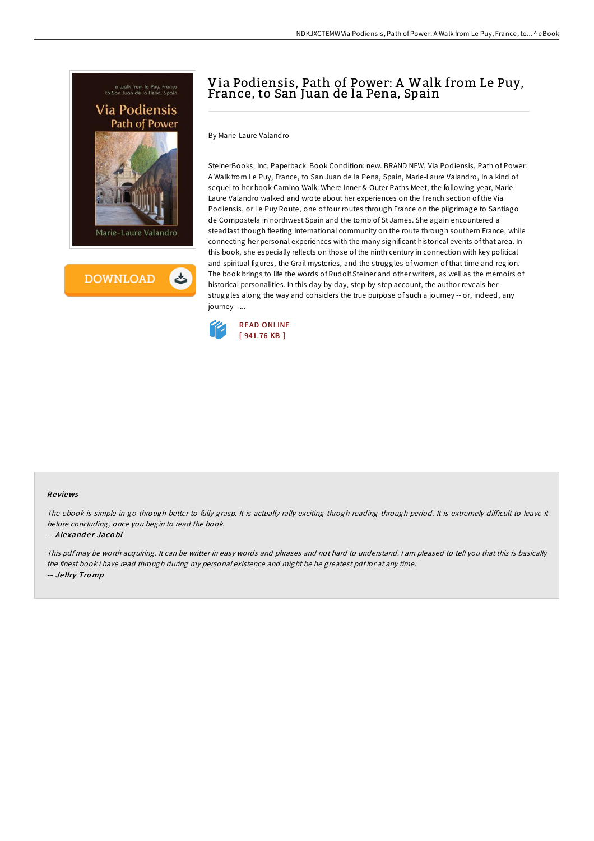



## Via Podiensis, Path of Power: A Walk from Le Puy, France, to San Juan de la Pena, Spain

By Marie-Laure Valandro

SteinerBooks, Inc. Paperback. Book Condition: new. BRAND NEW, Via Podiensis, Path of Power: A Walk from Le Puy, France, to San Juan de la Pena, Spain, Marie-Laure Valandro, In a kind of sequel to her book Camino Walk: Where Inner & Outer Paths Meet, the following year, Marie-Laure Valandro walked and wrote about her experiences on the French section of the Via Podiensis, or Le Puy Route, one of four routes through France on the pilgrimage to Santiago de Compostela in northwest Spain and the tomb of St James. She again encountered a steadfast though fleeting international community on the route through southern France, while connecting her personal experiences with the many significant historical events of that area. In this book, she especially reflects on those of the ninth century in connection with key political and spiritual figures, the Grail mysteries, and the struggles of women of that time and region. The book brings to life the words of Rudolf Steiner and other writers, as well as the memoirs of historical personalities. In this day-by-day, step-by-step account, the author reveals her struggles along the way and considers the true purpose of such a journey -- or, indeed, any journey --...



## Re views

The ebook is simple in go through better to fully grasp. It is actually rally exciting throgh reading through period. It is extremely difficult to leave it before concluding, once you begin to read the book.

## -- Alexander Jacobi

This pdf may be worth acquiring. It can be writter in easy words and phrases and not hard to understand. <sup>I</sup> am pleased to tell you that this is basically the finest book i have read through during my personal existence and might be he greatest pdf for at any time. -- Je ffry Tro mp